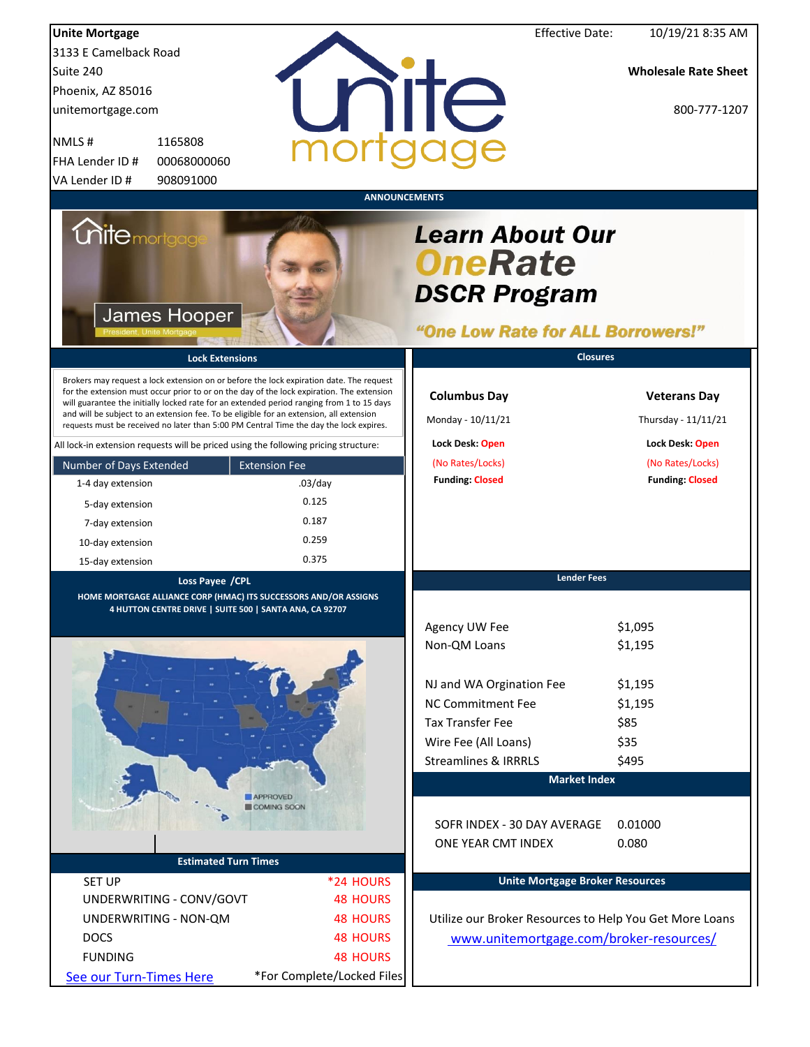| <b>Unite Mortgage</b>   |                                                         |                                                                                                                                                                                                                                                                                                                                                                                                                                                                        | <b>Effective Date:</b>                                                                               | 10/19/21 8:35 AM                           |
|-------------------------|---------------------------------------------------------|------------------------------------------------------------------------------------------------------------------------------------------------------------------------------------------------------------------------------------------------------------------------------------------------------------------------------------------------------------------------------------------------------------------------------------------------------------------------|------------------------------------------------------------------------------------------------------|--------------------------------------------|
| 3133 E Camelback Road   |                                                         |                                                                                                                                                                                                                                                                                                                                                                                                                                                                        |                                                                                                      |                                            |
| Suite 240               |                                                         |                                                                                                                                                                                                                                                                                                                                                                                                                                                                        |                                                                                                      | <b>Wholesale Rate Sheet</b>                |
| Phoenix, AZ 85016       |                                                         |                                                                                                                                                                                                                                                                                                                                                                                                                                                                        |                                                                                                      |                                            |
| unitemortgage.com       |                                                         |                                                                                                                                                                                                                                                                                                                                                                                                                                                                        | nite                                                                                                 | 800-777-1207                               |
| NMLS#                   | 1165808                                                 |                                                                                                                                                                                                                                                                                                                                                                                                                                                                        |                                                                                                      |                                            |
| FHA Lender ID #         | 00068000060                                             |                                                                                                                                                                                                                                                                                                                                                                                                                                                                        |                                                                                                      |                                            |
| VA Lender ID #          | 908091000                                               |                                                                                                                                                                                                                                                                                                                                                                                                                                                                        |                                                                                                      |                                            |
|                         |                                                         |                                                                                                                                                                                                                                                                                                                                                                                                                                                                        | <b>ANNOUNCEMENTS</b>                                                                                 |                                            |
| <b>Unite</b> mortgag    | <b>James Hooper</b>                                     |                                                                                                                                                                                                                                                                                                                                                                                                                                                                        | <b>Learn About Our</b><br><b>OneRate</b><br><b>DSCR Program</b><br>"One Low Rate for ALL Borrowers!" |                                            |
|                         | <b>Lock Extensions</b>                                  |                                                                                                                                                                                                                                                                                                                                                                                                                                                                        | <b>Closures</b>                                                                                      |                                            |
|                         |                                                         | Brokers may request a lock extension on or before the lock expiration date. The request<br>for the extension must occur prior to or on the day of the lock expiration. The extension<br>will guarantee the initially locked rate for an extended period ranging from 1 to 15 days<br>and will be subject to an extension fee. To be eligible for an extension, all extension<br>requests must be received no later than 5:00 PM Central Time the day the lock expires. | <b>Columbus Day</b><br>Monday - 10/11/21                                                             | <b>Veterans Day</b><br>Thursday - 11/11/21 |
|                         |                                                         | All lock-in extension requests will be priced using the following pricing structure:                                                                                                                                                                                                                                                                                                                                                                                   | Lock Desk: Open                                                                                      | Lock Desk: Open                            |
| Number of Days Extended |                                                         | <b>Extension Fee</b>                                                                                                                                                                                                                                                                                                                                                                                                                                                   | (No Rates/Locks)                                                                                     | (No Rates/Locks)                           |
| 1-4 day extension       |                                                         | $.03$ /day                                                                                                                                                                                                                                                                                                                                                                                                                                                             | <b>Funding: Closed</b>                                                                               | <b>Funding: Closed</b>                     |
| 5-day extension         |                                                         | 0.125                                                                                                                                                                                                                                                                                                                                                                                                                                                                  |                                                                                                      |                                            |
| 7-day extension         |                                                         | 0.187                                                                                                                                                                                                                                                                                                                                                                                                                                                                  |                                                                                                      |                                            |
| 10-day extension        |                                                         | 0.259                                                                                                                                                                                                                                                                                                                                                                                                                                                                  |                                                                                                      |                                            |
| 15-day extension        |                                                         | 0.375                                                                                                                                                                                                                                                                                                                                                                                                                                                                  |                                                                                                      |                                            |
|                         | Loss Payee / CPL                                        | HOME MORTGAGE ALLIANCE CORP (HMAC) ITS SUCCESSORS AND/OR ASSIGNS                                                                                                                                                                                                                                                                                                                                                                                                       | <b>Lender Fees</b>                                                                                   |                                            |
|                         | 4 HUTTON CENTRE DRIVE   SUITE 500   SANTA ANA, CA 92707 |                                                                                                                                                                                                                                                                                                                                                                                                                                                                        | Agency UW Fee<br>Non-QM Loans                                                                        | \$1,095<br>\$1,195                         |
|                         |                                                         |                                                                                                                                                                                                                                                                                                                                                                                                                                                                        | NJ and WA Orgination Fee                                                                             | \$1,195                                    |
|                         |                                                         |                                                                                                                                                                                                                                                                                                                                                                                                                                                                        | <b>NC Commitment Fee</b>                                                                             | \$1,195                                    |
|                         |                                                         |                                                                                                                                                                                                                                                                                                                                                                                                                                                                        | <b>Tax Transfer Fee</b>                                                                              | \$85                                       |
|                         |                                                         |                                                                                                                                                                                                                                                                                                                                                                                                                                                                        | Wire Fee (All Loans)                                                                                 | \$35                                       |
|                         |                                                         |                                                                                                                                                                                                                                                                                                                                                                                                                                                                        | <b>Streamlines &amp; IRRRLS</b>                                                                      | \$495                                      |
|                         |                                                         |                                                                                                                                                                                                                                                                                                                                                                                                                                                                        | <b>Market Index</b>                                                                                  |                                            |
|                         |                                                         | APPROVED<br><b>COMING SOON</b>                                                                                                                                                                                                                                                                                                                                                                                                                                         |                                                                                                      |                                            |
|                         |                                                         |                                                                                                                                                                                                                                                                                                                                                                                                                                                                        | SOFR INDEX - 30 DAY AVERAGE<br>ONE YEAR CMT INDEX                                                    | 0.01000<br>0.080                           |
|                         | <b>Estimated Turn Times</b>                             |                                                                                                                                                                                                                                                                                                                                                                                                                                                                        |                                                                                                      |                                            |
| <b>SET UP</b>           |                                                         | *24 HOURS                                                                                                                                                                                                                                                                                                                                                                                                                                                              | <b>Unite Mortgage Broker Resources</b>                                                               |                                            |
|                         | UNDERWRITING - CONV/GOVT                                | <b>48 HOURS</b>                                                                                                                                                                                                                                                                                                                                                                                                                                                        |                                                                                                      |                                            |
|                         | UNDERWRITING - NON-QM                                   | <b>48 HOURS</b>                                                                                                                                                                                                                                                                                                                                                                                                                                                        | Utilize our Broker Resources to Help You Get More Loans                                              |                                            |
| <b>DOCS</b>             |                                                         | <b>48 HOURS</b>                                                                                                                                                                                                                                                                                                                                                                                                                                                        | www.unitemortgage.com/broker-resources/                                                              |                                            |
| <b>FUNDING</b>          |                                                         | <b>48 HOURS</b>                                                                                                                                                                                                                                                                                                                                                                                                                                                        |                                                                                                      |                                            |
| See our Turn-Times Here |                                                         | *For Complete/Locked Files                                                                                                                                                                                                                                                                                                                                                                                                                                             |                                                                                                      |                                            |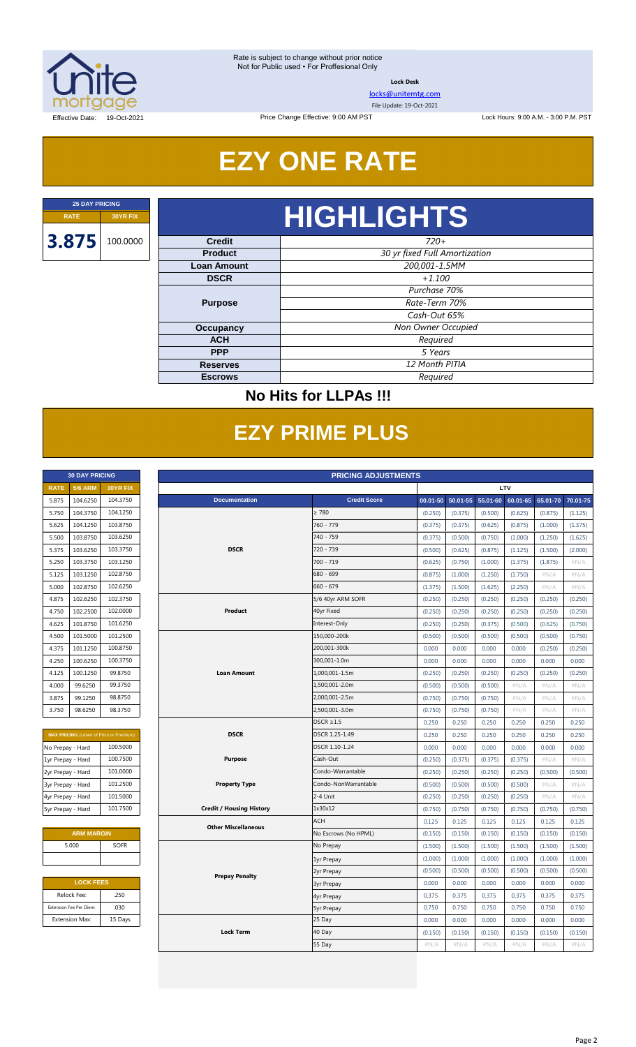

**Lock Desk**

[locks@unitemtg.com](mailto:locks@unitemtg.com)

File Update: 19-Oct-2021

Lock Hours: 9:00 A.M. - 3:00 P.M. PST

Effective Date: 19-Oct-2021

# **EZY ONE RATE**

Price Change Effective: 9:00 AM PST

## *720+* **RATE 30YR FIX HIGHLIGHTS**

| vicult             | 7491                          |  |  |  |  |
|--------------------|-------------------------------|--|--|--|--|
| <b>Product</b>     | 30 yr fixed Full Amortization |  |  |  |  |
| <b>Loan Amount</b> | 200,001-1.5MM                 |  |  |  |  |
| <b>DSCR</b>        | $+1.100$                      |  |  |  |  |
|                    | Purchase 70%                  |  |  |  |  |
| <b>Purpose</b>     | Rate-Term 70%                 |  |  |  |  |
|                    | Cash-Out 65%                  |  |  |  |  |
| Occupancy          | Non Owner Occupied            |  |  |  |  |
| <b>ACH</b>         | Required                      |  |  |  |  |
| <b>PPP</b>         | 5 Years                       |  |  |  |  |
| <b>Reserves</b>    | 12 Month PITIA                |  |  |  |  |
| <b>Escrows</b>     | Required                      |  |  |  |  |

### **No Hits for LLPAs !!!**

## **EZY PRIME PLUS**

|             | <b>30 DAY PRICING</b> |                 |
|-------------|-----------------------|-----------------|
| <b>RATE</b> | <b>5/6 ARM</b>        | <b>30YR FIX</b> |
| 5.875       | 104.6250              | 104.3750        |
| 5.750       | 104.3750              | 104.1250        |
| 5.625       | 104.1250              | 103.8750        |
| 5.500       | 103.8750              | 103.6250        |
| 5.375       | 103.6250              | 103.3750        |
| 5.250       | 103.3750              | 103.1250        |
| 5.125       | 103.1250              | 102.8750        |
| 5.000       | 102.8750              | 102.6250        |
| 4.875       | 102.6250              | 102.3750        |
| 4.750       | 102.2500              | 102.0000        |
| 4.625       | 101.8750              | 101.6250        |
| 4.500       | 101.5000              | 101.2500        |
| 4.375       | 101.1250              | 100.8750        |
| 4.250       | 100.6250              | 100.3750        |
| 4.125       | 100.1250              | 99.8750         |
| 4.000       | 99.6250               | 99.3750         |
| 3.875       | 99.1250               | 98.8750         |
| 3.750       | 98.6250               | 98.3750         |

| <b>MAX PRICING</b> (Lower of Price or Premium) |          |  |  |  |  |  |  |
|------------------------------------------------|----------|--|--|--|--|--|--|
| No Prepay - Hard                               | 100.5000 |  |  |  |  |  |  |
| 1yr Prepay - Hard                              | 100.7500 |  |  |  |  |  |  |
| 2yr Prepay - Hard                              | 101.0000 |  |  |  |  |  |  |
| 3yr Prepay - Hard                              | 101.2500 |  |  |  |  |  |  |
| 4yr Prepay - Hard                              | 101.5000 |  |  |  |  |  |  |
| 5yr Prepay - Hard                              | 101.7500 |  |  |  |  |  |  |

| <b>ARM MARGIN</b> |             |  |  |  |  |  |
|-------------------|-------------|--|--|--|--|--|
| 5.000             | <b>SOFR</b> |  |  |  |  |  |
|                   |             |  |  |  |  |  |

| <b>LOCK FEES</b>        |         |  |  |  |  |  |
|-------------------------|---------|--|--|--|--|--|
| Relock Fee:             | .250    |  |  |  |  |  |
| Extension Fee Per Diem: | .030    |  |  |  |  |  |
| <b>Extension Max:</b>   | 15 Days |  |  |  |  |  |

|                   | <b>30 DAY PRICING</b>   |                                                | <b>PRICING ADJUSTMENTS</b>      |                      |          |          |          |          |          |          |  |
|-------------------|-------------------------|------------------------------------------------|---------------------------------|----------------------|----------|----------|----------|----------|----------|----------|--|
| <b>RATE</b>       | <b>5/6 ARM</b>          | 30YR FIX                                       | LTV                             |                      |          |          |          |          |          |          |  |
| 5.875             | 104.6250                | 104.3750                                       | <b>Documentation</b>            | <b>Credit Score</b>  | 00.01-50 | 50.01-55 | 55.01-60 | 60.01-65 | 65.01-70 | 70.01-75 |  |
| 5.750             | 104.3750                | 104.1250                                       |                                 | $\geq 780$           | (0.250)  | (0.375)  | (0.500)  | (0.625)  | (0.875)  | (1.125)  |  |
| 5.625             | 104.1250                | 103.8750                                       |                                 | 760 - 779            | (0.375)  | (0.375)  | (0.625)  | (0.875)  | (1.000)  | (1.375)  |  |
| 5.500             | 103.8750                | 103.6250                                       |                                 | 740 - 759            | (0.375)  | (0.500)  | (0.750)  | (1.000)  | (1.250)  | (1.625)  |  |
| 5.375             | 103.6250                | 103.3750                                       | <b>DSCR</b>                     | 720 - 739            | (0.500)  | (0.625)  | (0.875)  | (1.125)  | (1.500)  | (2.000)  |  |
| 5.250             | 103.3750                | 103.1250                                       |                                 | 700 - 719            | (0.625)  | (0.750)  | (1.000)  | (1.375)  | (1.875)  | #N/A     |  |
| 5.125             | 103.1250                | 102.8750                                       |                                 | 680 - 699            | (0.875)  | (1.000)  | (1.250)  | (1.750)  | $\#N/A$  | #N/A     |  |
| 5.000             | 102.8750                | 102.6250                                       |                                 | $660 - 679$          | (1.375)  | (1.500)  | (1.625)  | (2.250)  | #N/A     | #N/A     |  |
| 4.875             | 102.6250                | 102.3750                                       |                                 | 5/6 40yr ARM SOFR    | (0.250)  | (0.250)  | (0.250)  | (0.250)  | (0.250)  | (0.250)  |  |
| 4.750             | 102.2500                | 102.0000                                       | Product                         | 40yr Fixed           | (0.250)  | (0.250)  | (0.250)  | (0.250)  | (0.250)  | (0.250)  |  |
| 4.625             | 101.8750                | 101.6250                                       |                                 | Interest-Only        | (0.250)  | (0.250)  | (0.375)  | (0.500)  | (0.625)  | (0.750)  |  |
| 4.500             | 101.5000                | 101.2500                                       |                                 | 150,000-200k         | (0.500)  | (0.500)  | (0.500)  | (0.500)  | (0.500)  | (0.750)  |  |
| 4.375             | 101.1250                | 100.8750                                       |                                 | 200,001-300k         | 0.000    | 0.000    | 0.000    | 0.000    | (0.250)  | (0.250)  |  |
| 4.250             | 100.6250                | 100.3750                                       |                                 | 300,001-1.0m         | 0.000    | 0.000    | 0.000    | 0.000    | 0.000    | 0.000    |  |
| 4.125             | 100.1250                | 99.8750                                        | <b>Loan Amount</b>              | 1,000,001-1.5m       | (0.250)  | (0.250)  | (0.250)  | (0.250)  | (0.250)  | (0.250)  |  |
| 4.000             | 99.6250                 | 99.3750                                        |                                 | 1,500,001-2.0m       | (0.500)  | (0.500)  | (0.500)  | #N/A     | #N/A     | #N/A     |  |
| 3.875             | 99.1250                 | 98.8750                                        |                                 | 2,000,001-2.5m       | (0.750)  | (0.750)  | (0.750)  | #N/A     | $\#N/A$  | #N/A     |  |
| 3.750             | 98.6250                 | 98.3750                                        |                                 | 2,500,001-3.0m       | (0.750)  | (0.750)  | (0.750)  | #N/A     | #N/A     | $\#N/A$  |  |
|                   |                         |                                                |                                 | $DSCR \geq 1.5$      | 0.250    | 0.250    | 0.250    | 0.250    | 0.250    | 0.250    |  |
|                   |                         | <b>MAX PRICING</b> (Lower of Price or Premium) | <b>DSCR</b>                     | DSCR 1.25-1.49       | 0.250    | 0.250    | 0.250    | 0.250    | 0.250    | 0.250    |  |
| No Prepay - Hard  |                         | 100.5000                                       |                                 | DSCR 1.10-1.24       | 0.000    | 0.000    | 0.000    | 0.000    | 0.000    | 0.000    |  |
| 1yr Prepay - Hard |                         | 100.7500                                       | <b>Purpose</b>                  | Cash-Out             | (0.250)  | (0.375)  | (0.375)  | (0.375)  | #N/A     | #N/A     |  |
| 2yr Prepay - Hard |                         | 101.0000                                       |                                 | Condo-Warrantable    | (0.250)  | (0.250)  | (0.250)  | (0.250)  | (0.500)  | (0.500)  |  |
| 3yr Prepay - Hard |                         | 101.2500                                       | <b>Property Type</b>            | Condo-NonWarrantable | (0.500)  | (0.500)  | (0.500)  | (0.500)  | #N/A     | #N/A     |  |
| 4yr Prepay - Hard |                         | 101.5000                                       |                                 | 2-4 Unit             | (0.250)  | (0.250)  | (0.250)  | (0.250)  | #N/A     | #N/A     |  |
| 5yr Prepay - Hard |                         | 101.7500                                       | <b>Credit / Housing History</b> | 1x30x12              | (0.750)  | (0.750)  | (0.750)  | (0.750)  | (0.750)  | (0.750)  |  |
|                   |                         |                                                |                                 | <b>ACH</b>           | 0.125    | 0.125    | 0.125    | 0.125    | 0.125    | 0.125    |  |
|                   | <b>ARM MARGIN</b>       |                                                | <b>Other Miscellaneous</b>      | No Escrows (No HPML) | (0.150)  | (0.150)  | (0.150)  | (0.150)  | (0.150)  | (0.150)  |  |
|                   | 5.000                   | SOFR                                           |                                 | No Prepay            | (1.500)  | (1.500)  | (1.500)  | (1.500)  | (1.500)  | (1.500)  |  |
|                   |                         |                                                |                                 | 1yr Prepay           | (1.000)  | (1.000)  | (1.000)  | (1.000)  | (1.000)  | (1.000)  |  |
|                   |                         |                                                |                                 | 2yr Prepay           | (0.500)  | (0.500)  | (0.500)  | (0.500)  | (0.500)  | (0.500)  |  |
|                   | <b>LOCK FEES</b>        |                                                | <b>Prepay Penalty</b>           | <b>3yr Prepay</b>    | 0.000    | 0.000    | 0.000    | 0.000    | 0.000    | 0.000    |  |
|                   | Relock Fee:             | .250                                           |                                 | 4yr Prepay           | 0.375    | 0.375    | 0.375    | 0.375    | 0.375    | 0.375    |  |
|                   | Extension Fee Per Diem: | .030                                           |                                 | <b>5yr Prepay</b>    | 0.750    | 0.750    | 0.750    | 0.750    | 0.750    | 0.750    |  |
|                   | <b>Extension Max:</b>   | 15 Days                                        |                                 | 25 Day               | 0.000    | 0.000    | 0.000    | 0.000    | 0.000    | 0.000    |  |
|                   |                         |                                                | <b>Lock Term</b>                | 40 Day               | (0.150)  | (0.150)  | (0.150)  | (0.150)  | (0.150)  | (0.150)  |  |
|                   |                         |                                                |                                 | 55 Day               | #N/A     | #N/A     | #N/A     | #N/A     | #N/A     | #N/A     |  |
|                   |                         |                                                |                                 |                      |          |          |          |          |          |          |  |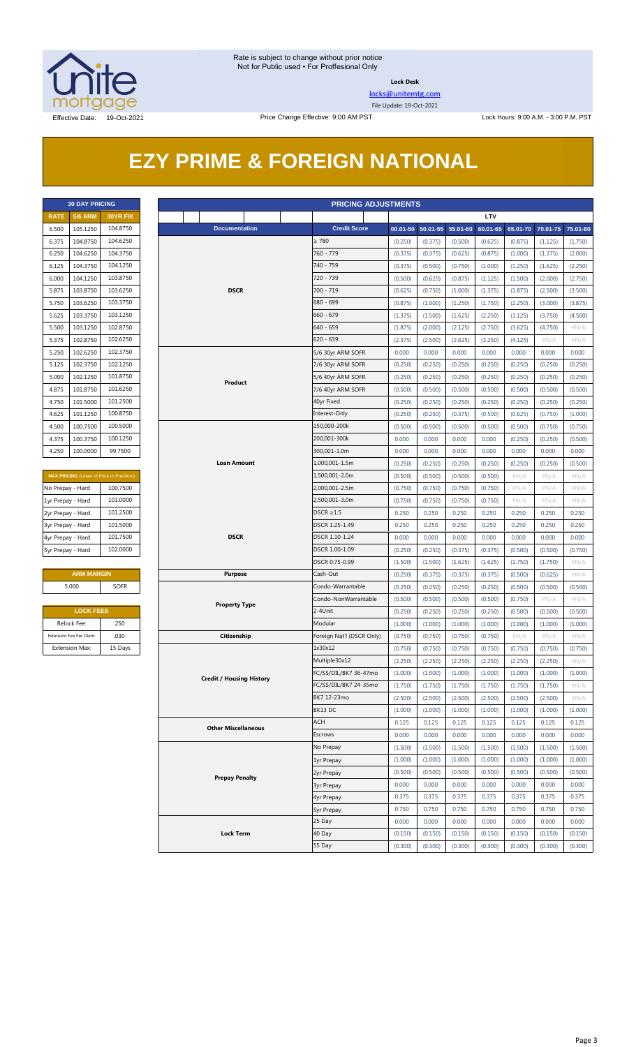

**Lock Desk**

[locks@unitemtg.com](mailto:locks@unitemtg.com) File Update: 19-Oct-2021

## **EZY PRIME & FOREIGN NATIONAL**

|             | <b>30 DAY PRICING</b> |                 |
|-------------|-----------------------|-----------------|
| <b>RATE</b> | <b>5/6 ARM</b>        | <b>30YR FIX</b> |
| 6.500       | 105.1250              | 104.8750        |
| 6.375       | 104.8750              | 104.6250        |
| 6.250       | 104.6250              | 104.3750        |
| 6.125       | 104.3750              | 104.1250        |
| 6.000       | 104.1250              | 103.8750        |
| 5.875       | 103.8750              | 103.6250        |
| 5.750       | 103.6250              | 103.3750        |
| 5.625       | 103.3750              | 103.1250        |
| 5.500       | 103.1250              | 102.8750        |
| 5.375       | 102.8750              | 102.6250        |
| 5.250       | 102.6250              | 102.3750        |
| 5.125       | 102.3750              | 102.1250        |
| 5.000       | 102.1250              | 101.8750        |
| 4.875       | 101.8750              | 101.6250        |
| 4.750       | 101.5000              | 101.2500        |
| 4.625       | 101.1250              | 100.8750        |
| 4.500       | 100.7500              | 100.5000        |
| 4.375       | 100.3750              | 100.1250        |
| 4.250       | 100.0000              | 99.7500         |

| <b>MAX PRICING</b> (Lower of Price or Premium) |  |  |  |  |  |  |  |
|------------------------------------------------|--|--|--|--|--|--|--|
| 100.7500                                       |  |  |  |  |  |  |  |
| 101.0000                                       |  |  |  |  |  |  |  |
| 101.2500                                       |  |  |  |  |  |  |  |
| 101.5000                                       |  |  |  |  |  |  |  |
| 101.7500                                       |  |  |  |  |  |  |  |
| 102,0000                                       |  |  |  |  |  |  |  |
|                                                |  |  |  |  |  |  |  |

#### **ARM MARGIN** 5.000 SOFR

| <b>LOCK FEES</b>        |         |  |  |  |  |  |  |
|-------------------------|---------|--|--|--|--|--|--|
| Relock Fee:             | .250    |  |  |  |  |  |  |
| Extension Fee Per Diem: | .030    |  |  |  |  |  |  |
| <b>Extension Max:</b>   | 15 Days |  |  |  |  |  |  |

|                   | <b>30 DAY PRICING</b><br><b>PRICING ADJUSTMENTS</b> |                                                |                                 |                |                           |                    |                       |                    |                    |                    |                    |                 |
|-------------------|-----------------------------------------------------|------------------------------------------------|---------------------------------|----------------|---------------------------|--------------------|-----------------------|--------------------|--------------------|--------------------|--------------------|-----------------|
| <b>RATE</b>       | <b>5/6 ARM</b>                                      | 30YR FIX                                       |                                 |                |                           |                    |                       |                    | LTV                |                    |                    |                 |
| 6.500             | 105.1250                                            | 104.8750                                       | <b>Documentation</b>            |                | <b>Credit Score</b>       |                    | $00.01 - 50$ 50.01-55 | 55.01-60           | 60.01-65           | 65.01-70           | 70.01-75           | 75.01-80        |
| 6.375             | 104.8750                                            | 104.6250                                       |                                 |                | $\geq 780$                | (0.250)            | (0.375)               | (0.500)            | (0.625)            | (0.875)            | (1.125)            | (1.750)         |
| 6.250             | 104.6250                                            | 104.3750                                       |                                 |                | 760 - 779                 | (0.375)            | (0.375)               | (0.625)            | (0.875)            | (1.000)            | (1.375)            | (2.000)         |
| 6.125             | 104.3750                                            | 104.1250                                       |                                 |                | 740 - 759                 | (0.375)            | (0.500)               | (0.750)            | (1.000)            | (1.250)            | (1.625)            | (2.250)         |
| 6.000             | 104.1250                                            | 103.8750                                       |                                 |                | 720 - 739                 | (0.500)            | (0.625)               | (0.875)            | (1.125)            | (1.500)            | (2.000)            | (2.750)         |
| 5.875             | 103.8750                                            | 103.6250                                       | <b>DSCR</b>                     |                | 700 - 719                 | (0.625)            | (0.750)               | (1.000)            | (1.375)            | (1.875)            | (2.500)            | (3.500)         |
| 5.750             | 103.6250                                            | 103.3750                                       |                                 |                | 680 - 699                 | (0.875)            | (1.000)               | (1.250)            | (1.750)            | (2.250)            | (3.000)            | (3.875)         |
| 5.625             | 103.3750                                            | 103.1250                                       |                                 |                | $660 - 679$               | (1.375)            | (1.500)               | (1.625)            | (2.250)            | (3.125)            | (3.750)            | (4.500)         |
| 5.500             | 103.1250                                            | 102.8750                                       |                                 |                | 640 - 659                 | (1.875)            | (2.000)               | (2.125)            | (2.750)            | (3.625)            | (4.750)            | $\#N/A$         |
| 5.375             | 102.8750                                            | 102.6250                                       |                                 |                | $620 - 639$               | (2.375)            | (2.500)               | (2.625)            | (3.250)            | (4.125)            | #N/A               | $\#N/A$         |
| 5.250             | 102.6250                                            | 102.3750                                       |                                 |                | 5/6 30yr ARM SOFR         | 0.000              | 0.000                 | 0.000              | 0.000              | 0.000              | 0.000              | 0.000           |
| 5.125             | 102.3750                                            | 102.1250                                       |                                 |                | 7/6 30yr ARM SOFR         | (0.250)            | (0.250)               | (0.250)            | (0.250)            | (0.250)            | (0.250)            | (0.250)         |
| 5.000             | 102.1250                                            | 101.8750                                       | Product                         |                | 5/6 40yr ARM SOFR         | (0.250)            | (0.250)               | (0.250)            | (0.250)            | (0.250)            | (0.250)            | (0.250)         |
| 4.875             | 101.8750                                            | 101.6250                                       |                                 |                | 7/6 40yr ARM SOFR         | (0.500)            | (0.500)               | (0.500)            | (0.500)            | (0.500)            | (0.500)            | (0.500)         |
| 4.750             | 101.5000                                            | 101.2500                                       |                                 |                | 40yr Fixed                | (0.250)            | (0.250)               | (0.250)            | (0.250)            | (0.250)            | (0.250)            | (0.250)         |
| 4.625             | 101.1250                                            | 100.8750                                       |                                 |                | Interest-Only             | (0.250)            | (0.250)               | (0.375)            | (0.500)            | (0.625)            | (0.750)            | (1.000)         |
| 4.500             | 100.7500                                            | 100.5000                                       |                                 |                | 150,000-200k              | (0.500)            | (0.500)               | (0.500)            | (0.500)            | (0.500)            | (0.750)            | (0.750)         |
| 4.375             | 100.3750                                            | 100.1250                                       |                                 |                | 200,001-300k              | 0.000              | 0.000                 | 0.000              | 0.000              | (0.250)            | (0.250)            | (0.500)         |
| 4.250             | 100.0000                                            | 99.7500                                        |                                 |                | 300,001-1.0m              | 0.000              | 0.000                 | 0.000              | 0.000              | 0.000              | 0.000              | 0.000           |
|                   |                                                     |                                                | Loan Amount                     |                | 1,000,001-1.5m            | (0.250)            | (0.250)               | (0.250)            | (0.250)            | (0.250)            | (0.250)            | (0.500)         |
|                   |                                                     | <b>MAX PRICING</b> (Lower of Price or Premium) |                                 |                | 1,500,001-2.0m            | (0.500)            | (0.500)               | (0.500)            | (0.500)            | $\#N/A$            | #N/A               | #N/A            |
| No Prepay - Hard  |                                                     | 100.7500                                       |                                 |                | 2,000,001-2.5m            | (0.750)            | (0.750)               | (0.750)            | (0.750)            | $\#N/A$            | #N/A               | $\#N/A$         |
| 1yr Prepay - Hard |                                                     | 101.0000                                       |                                 |                | 2,500,001-3.0m            | (0.750)            | (0.750)               | (0.750)            | (0.750)            | $\#N/A$            | $\#N/A$            | $\#N/A$         |
| 2yr Prepay - Hard |                                                     | 101.2500                                       |                                 |                | DSCR $\geq$ 1.5           | 0.250              | 0.250                 | 0.250              | 0.250              | 0.250              | 0.250              | 0.250           |
| 3yr Prepay - Hard |                                                     | 101.5000                                       |                                 |                | DSCR 1.25-1.49            | 0.250              | 0.250                 | 0.250              | 0.250              | 0.250              | 0.250              | 0.250           |
| 4yr Prepay - Hard |                                                     | 101.7500                                       | <b>DSCR</b>                     |                | DSCR 1.10-1.24            | 0.000              | 0.000                 | 0.000              | 0.000              | 0.000              | 0.000              | 0.000           |
| 5yr Prepay - Hard |                                                     | 102.0000                                       |                                 |                | DSCR 1.00-1.09            | (0.250)            | (0.250)               | (0.375)            | (0.375)            | (0.500)            | (0.500)            | (0.750)         |
|                   |                                                     |                                                |                                 | DSCR 0.75-0.99 | (1.500)                   | (1.500)            | (1.625)               | (1.625)            | (1.750)            | (1.750)            | $\#N/A$            |                 |
|                   | <b>ARM MARGIN</b>                                   |                                                | <b>Purpose</b>                  |                | Cash-Out                  | (0.250)            | (0.375)               | (0.375)            | (0.375)            | (0.500)            | (0.625)            | $\#N/A$         |
|                   | 5.000                                               | SOFR                                           |                                 |                | Condo-Warrantable         | (0.250)            | (0.250)               | (0.250)            | (0.250)            | (0.500)            | (0.500)            | (0.500)         |
|                   |                                                     |                                                | <b>Property Type</b>            |                | Condo-NonWarrantable      | (0.500)            | (0.500)               | (0.500)            | (0.500)            | (0.750)            | $\#N/A$            | #N/A            |
|                   |                                                     | <b>LOCK FEES</b>                               |                                 |                | 2-4Unit                   | (0.250)            | (0.250)               | (0.250)            | (0.250)            | (0.500)            | (0.500)            | (0.500)         |
|                   | Relock Fee:<br>Extension Fee Per Diem:              | .250<br>.030                                   |                                 |                | Modular                   | (1.000)            | (1.000)               | (1.000)            | (1.000)            | (1.000)            | (1.000)            | (1.000)         |
|                   |                                                     |                                                | Citizenship                     |                | Foreign Nat'l (DSCR Only) | (0.750)            | (0.750)               | (0.750)            | (0.750)            | #N/A               | $\#N/A$            | $\#N/A$         |
|                   | Extension Max:                                      | 15 Days                                        |                                 |                | 1x30x12<br>Multiple30x12  | (0.750)<br>(2.250) | (0.750)<br>(2.250)    | (0.750)<br>(2.250) | (0.750)<br>(2.250) | (0.750)<br>(2.250) | (0.750)<br>(2.250) | (0.750)<br>#N/A |
|                   |                                                     |                                                |                                 |                | FC/SS/DIL/BK7 36-47mo     | (1.000)            | (1.000)               | (1.000)            | (1.000)            | (1.000)            | (1.000)            | (1.000)         |
|                   |                                                     |                                                | <b>Credit / Housing History</b> |                | FC/SS/DIL/BK7 24-35mo     | (1.750)            | (1.750)               | (1.750)            | (1.750)            | (1.750)            | (1.750)            | $\#N/A$         |
|                   |                                                     |                                                |                                 |                | BK7 12-23mo               | (2.500)            | (2.500)               | (2.500)            | (2.500)            | (2.500)            | (2.500)            | # $N/A$         |
|                   |                                                     |                                                |                                 |                | BK13 DC                   | (1.000)            | (1.000)               | (1.000)            | (1.000)            | (1.000)            | (1.000)            | (1.000)         |
|                   |                                                     |                                                |                                 |                | ACH                       | 0.125              | 0.125                 | 0.125              | 0.125              | 0.125              | 0.125              | 0.125           |
|                   |                                                     |                                                | <b>Other Miscellaneous</b>      |                | Escrows                   | 0.000              | 0.000                 | 0.000              | 0.000              | 0.000              | 0.000              | 0.000           |
|                   |                                                     |                                                |                                 |                | No Prepay                 | (1.500)            | (1.500)               | (1.500)            | (1.500)            | (1.500)            | (1.500)            | (1.500)         |
|                   |                                                     |                                                |                                 |                | 1yr Prepay                | (1.000)            | (1.000)               | (1.000)            | (1.000)            | (1.000)            | (1.000)            | (1.000)         |
|                   |                                                     |                                                |                                 |                | 2yr Prepay                | (0.500)            | (0.500)               | (0.500)            | (0.500)            | (0.500)            | (0.500)            | (0.500)         |
|                   |                                                     |                                                | <b>Prepay Penalty</b>           |                | <b>3yr Prepay</b>         | 0.000              | 0.000                 | 0.000              | 0.000              | 0.000              | 0.000              | 0.000           |
|                   |                                                     |                                                |                                 |                | 4yr Prepay                | 0.375              | 0.375                 | 0.375              | 0.375              | 0.375              | 0.375              | 0.375           |
|                   |                                                     |                                                |                                 |                | <b>5yr Prepay</b>         | 0.750              | 0.750                 | 0.750              | 0.750              | 0.750              | 0.750              | 0.750           |
|                   |                                                     |                                                |                                 |                | 25 Day                    | 0.000              | 0.000                 | 0.000              | 0.000              | 0.000              | 0.000              | 0.000           |
|                   |                                                     |                                                | <b>Lock Term</b>                |                | 40 Day                    | (0.150)            | (0.150)               | (0.150)            | (0.150)            | (0.150)            | (0.150)            | (0.150)         |
|                   |                                                     |                                                |                                 |                | 55 Day                    | (0.300)            | (0.300)               | (0.300)            | (0.300)            | (0.300)            | (0.300)            | (0.300)         |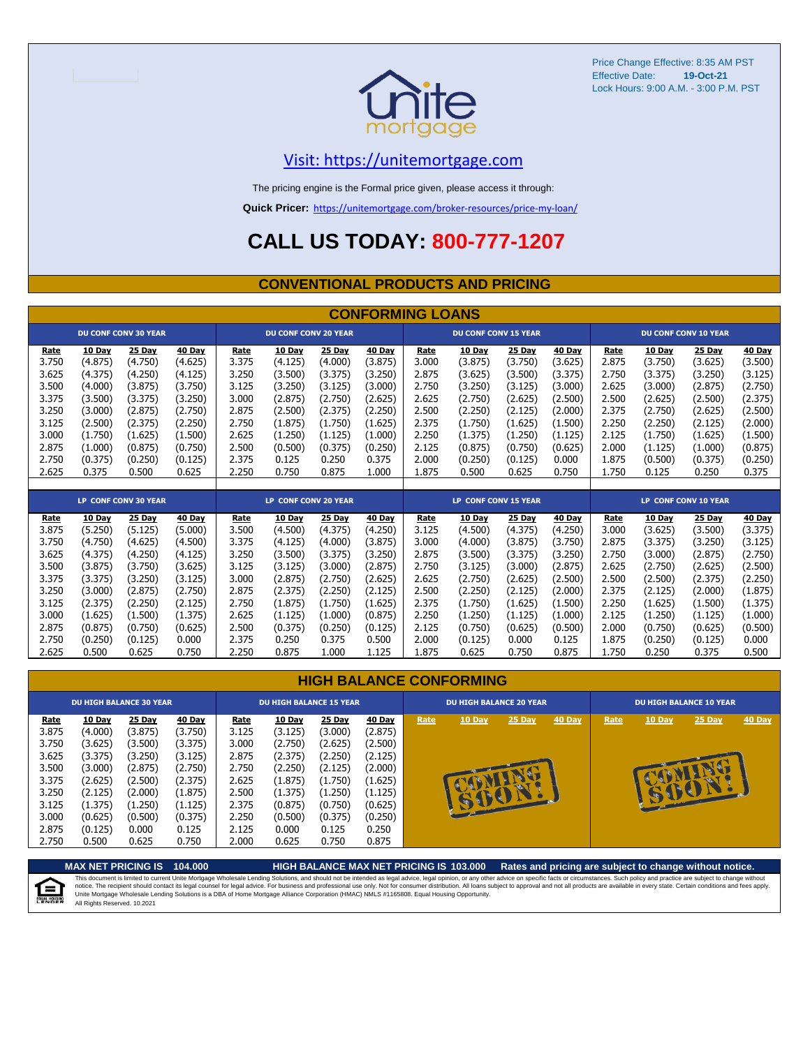

Price Change Effective: 8:35 AM PST Effective Date: Lock Hours: 9:00 A.M. - 3:00 P.M. PST **19-Oct-21**

#### [V](https://unitemortgage.com/)isit: https://unitemortgage.com

The pricing engine is the Formal price given, please access it through:

**Quick Pricer:** [https://un](https://unitemortgage.com/broker-resources/price-my-loan/)itemortgage.com/broker-resources/price-my-loan/

## **CALL US TODAY: 800-777-1207**

#### **CONVENTIONAL PRODUCTS AND PRICING**

|       | <b>CONFORMING LOANS</b> |                             |         |       |                             |         |         |       |                             |         |         |       |         |                             |         |
|-------|-------------------------|-----------------------------|---------|-------|-----------------------------|---------|---------|-------|-----------------------------|---------|---------|-------|---------|-----------------------------|---------|
|       |                         | <b>DU CONF CONV 30 YEAR</b> |         |       | <b>DU CONF CONV 20 YEAR</b> |         |         |       | <b>DU CONF CONV 15 YEAR</b> |         |         |       |         | <b>DU CONF CONV 10 YEAR</b> |         |
| Rate  | 10 Day                  | 25 Day                      | 40 Day  | Rate  | 10 Day                      | 25 Day  | 40 Day  | Rate  | 10 Day                      | 25 Day  | 40 Day  | Rate  | 10 Day  | 25 Day                      | 40 Day  |
| 3.750 | (4.875)                 | (4.750)                     | (4.625) | 3.375 | (4.125)                     | (4.000) | (3.875) | 3.000 | (3.875)                     | (3.750) | (3.625) | 2.875 | (3.750) | (3.625)                     | (3.500) |
| 3.625 | (4.375)                 | (4.250)                     | (4.125) | 3.250 | (3.500)                     | (3.375) | (3.250) | 2.875 | (3.625)                     | (3.500) | (3.375) | 2.750 | (3.375) | (3.250)                     | (3.125) |
| 3.500 | (4.000)                 | (3.875)                     | (3.750) | 3.125 | (3.250)                     | (3.125) | (3.000) | 2.750 | (3.250)                     | (3.125) | (3.000) | 2.625 | (3.000) | (2.875)                     | (2.750) |
| 3.375 | (3.500)                 | (3.375)                     | (3.250) | 3.000 | (2.875)                     | (2.750) | (2.625) | 2.625 | (2.750)                     | (2.625) | (2.500) | 2.500 | (2.625) | (2.500)                     | (2.375) |
| 3.250 | (3.000)                 | (2.875)                     | (2.750) | 2.875 | (2.500)                     | (2.375) | (2.250) | 2.500 | (2.250)                     | (2.125) | (2.000) | 2.375 | (2.750) | (2.625)                     | (2.500) |
| 3.125 | (2.500)                 | (2.375)                     | (2.250) | 2.750 | (1.875)                     | (1.750) | (1.625) | 2.375 | (1.750)                     | (1.625) | (1.500) | 2.250 | (2.250) | (2.125)                     | (2.000) |
| 3.000 | (1.750)                 | (1.625)                     | (1.500) | 2.625 | (1.250)                     | (1.125) | (1.000) | 2.250 | (1.375)                     | (1.250) | (1.125) | 2.125 | (1.750) | (1.625)                     | (1.500) |
| 2.875 | (1.000)                 | (0.875)                     | (0.750) | 2.500 | (0.500)                     | (0.375) | (0.250) | 2.125 | (0.875)                     | (0.750) | (0.625) | 2.000 | (1.125) | (1.000)                     | (0.875) |
| 2.750 | (0.375)                 | (0.250)                     | (0.125) | 2.375 | 0.125                       | 0.250   | 0.375   | 2.000 | (0.250)                     | (0.125) | 0.000   | 1.875 | (0.500) | (0.375)                     | (0.250) |
| 2.625 | 0.375                   | 0.500                       | 0.625   | 2.250 | 0.750                       | 0.875   | 1.000   | 1.875 | 0.500                       | 0.625   | 0.750   | 1.750 | 0.125   | 0.250                       | 0.375   |
|       |                         |                             |         |       |                             |         |         |       |                             |         |         |       |         |                             |         |
|       |                         |                             |         |       |                             |         |         |       |                             |         |         |       |         |                             |         |
|       |                         | <b>LP CONF CONV 30 YEAR</b> |         |       | LP CONF CONV 20 YEAR        |         |         |       | <b>LP CONF CONV 15 YEAR</b> |         |         |       |         | LP CONF CONV 10 YEAR        |         |
| Rate  | 10 Day                  | 25 Day                      | 40 Day  | Rate  | 10 Day                      | 25 Day  | 40 Day  | Rate  | 10 Dav                      | 25 Day  | 40 Day  | Rate  | 10 Day  | 25 Day                      | 40 Day  |
| 3.875 | (5.250)                 | (5.125)                     | (5.000) | 3.500 | (4.500)                     | (4.375) | (4.250) | 3.125 | (4.500)                     | (4.375) | (4.250) | 3.000 | (3.625) | (3.500)                     | (3.375) |
| 3.750 | (4.750)                 | (4.625)                     | (4.500) | 3.375 | (4.125)                     | (4.000) | (3.875) | 3.000 | (4.000)                     | (3.875) | (3.750) | 2.875 | (3.375) | (3.250)                     | (3.125) |
| 3.625 | (4.375)                 | (4.250)                     | (4.125) | 3.250 | (3.500)                     | (3.375) | (3.250) | 2.875 | (3.500)                     | (3.375) | (3.250) | 2.750 | (3.000) | (2.875)                     | (2.750) |
| 3.500 | (3.875)                 | (3.750)                     | (3.625) | 3.125 | (3.125)                     | (3.000) | (2.875) | 2.750 | (3.125)                     | (3.000) | (2.875) | 2.625 | (2.750) | (2.625)                     | (2.500) |
| 3.375 | (3.375)                 | (3.250)                     | (3.125) | 3.000 | (2.875)                     | (2.750) | (2.625) | 2.625 | (2.750)                     | (2.625) | (2.500) | 2.500 | (2.500) | (2.375)                     | (2.250) |
| 3.250 | (3.000)                 | (2.875)                     | (2.750) | 2.875 | (2.375)                     | (2.250) | (2.125) | 2.500 | (2.250)                     | (2.125) | (2.000) | 2.375 | (2.125) | (2.000)                     | (1.875) |
| 3.125 | (2.375)                 | (2.250)                     | (2.125) | 2.750 | (1.875)                     | (1.750) | (1.625) | 2.375 | (1.750)                     | (1.625) | (1.500) | 2.250 | (1.625) | (1.500)                     | (1.375) |
| 3.000 | (1.625)                 | (1.500)                     | (1.375) | 2.625 | (1.125)                     | (1.000) | (0.875) | 2.250 | (1.250)                     | (1.125) | (1.000) | 2.125 | (1.250) | (1.125)                     | (1.000) |
| 2.875 | (0.875)                 | (0.750)                     | (0.625) | 2.500 | (0.375)                     | (0.250) | (0.125) | 2.125 | (0.750)                     | (0.625) | (0.500) | 2.000 | (0.750) | (0.625)                     | (0.500) |

|                                                                                                | <b>HIGH BALANCE CONFORMING</b>                                                                                            |                                                                                                                         |                                                                                                                         |                                                                                                |                                                                                                                         |                                                                                                                         |                                                                                                                  |      |                                |                          |               |                                |               |                   |               |
|------------------------------------------------------------------------------------------------|---------------------------------------------------------------------------------------------------------------------------|-------------------------------------------------------------------------------------------------------------------------|-------------------------------------------------------------------------------------------------------------------------|------------------------------------------------------------------------------------------------|-------------------------------------------------------------------------------------------------------------------------|-------------------------------------------------------------------------------------------------------------------------|------------------------------------------------------------------------------------------------------------------|------|--------------------------------|--------------------------|---------------|--------------------------------|---------------|-------------------|---------------|
|                                                                                                | <b>DU HIGH BALANCE 30 YEAR</b>                                                                                            |                                                                                                                         |                                                                                                                         |                                                                                                | <b>DU HIGH BALANCE 15 YEAR</b>                                                                                          |                                                                                                                         |                                                                                                                  |      | <b>DU HIGH BALANCE 20 YEAR</b> |                          |               | <b>DU HIGH BALANCE 10 YEAR</b> |               |                   |               |
| Rate<br>3.875<br>3.750<br>3.625<br>3.500<br>3.375<br>3.250<br>3.125<br>3.000<br>2.875<br>2.750 | <b>10 Day</b><br>(4.000)<br>(3.625)<br>(3.375)<br>(3.000)<br>(2.625)<br>(2.125)<br>(1.375)<br>(0.625)<br>(0.125)<br>0.500 | <b>25 Day</b><br>(3.875)<br>(3.500)<br>(3.250)<br>(2.875)<br>(2.500)<br>(2.000)<br>(1.250)<br>(0.500)<br>0.000<br>0.625 | <b>40 Day</b><br>(3.750)<br>(3.375)<br>(3.125)<br>(2.750)<br>(2.375)<br>(1.875)<br>(1.125)<br>(0.375)<br>0.125<br>0.750 | Rate<br>3.125<br>3.000<br>2.875<br>2.750<br>2.625<br>2.500<br>2.375<br>2.250<br>2.125<br>2.000 | <b>10 Day</b><br>(3.125)<br>(2.750)<br>(2.375)<br>(2.250)<br>(1.875)<br>(1.375)<br>(0.875)<br>(0.500)<br>0.000<br>0.625 | <b>25 Day</b><br>(3.000)<br>(2.625)<br>(2.250)<br>(2.125)<br>(1.750)<br>(1.250)<br>(0.750)<br>(0.375)<br>0.125<br>0.750 | 40 Day<br>(2.875)<br>(2.500)<br>(2.125)<br>(2.000)<br>(1.625)<br>(1.125)<br>(0.625)<br>(0.250)<br>0.250<br>0.875 | Rate | $10$ Day                       | <b>25 Day</b><br>SOFFICE | <b>40 Day</b> | Rate                           | <b>10 Day</b> | $25$ Day<br>SEPER | <b>40 Day</b> |

2.625 0.500 0.625 0.750 2.250 0.875 1.000 1.125 1.875 0.625 0.750 0.875 1.750 0.250 0.375 0.500

**MAX NET PRICING IS 104.000 HIGH BALANCE MAX NET PRICING IS 103.000 Rates and pricing are subject to change without notice.** This document is limited to current Unite Mortgage Wholesale Lending Solutions, and should not be intended as legal advice, legal opinion, or any other advice on specific facts or circumstances. Such policy and practice ar 自 All Rights Reserved. 10.2021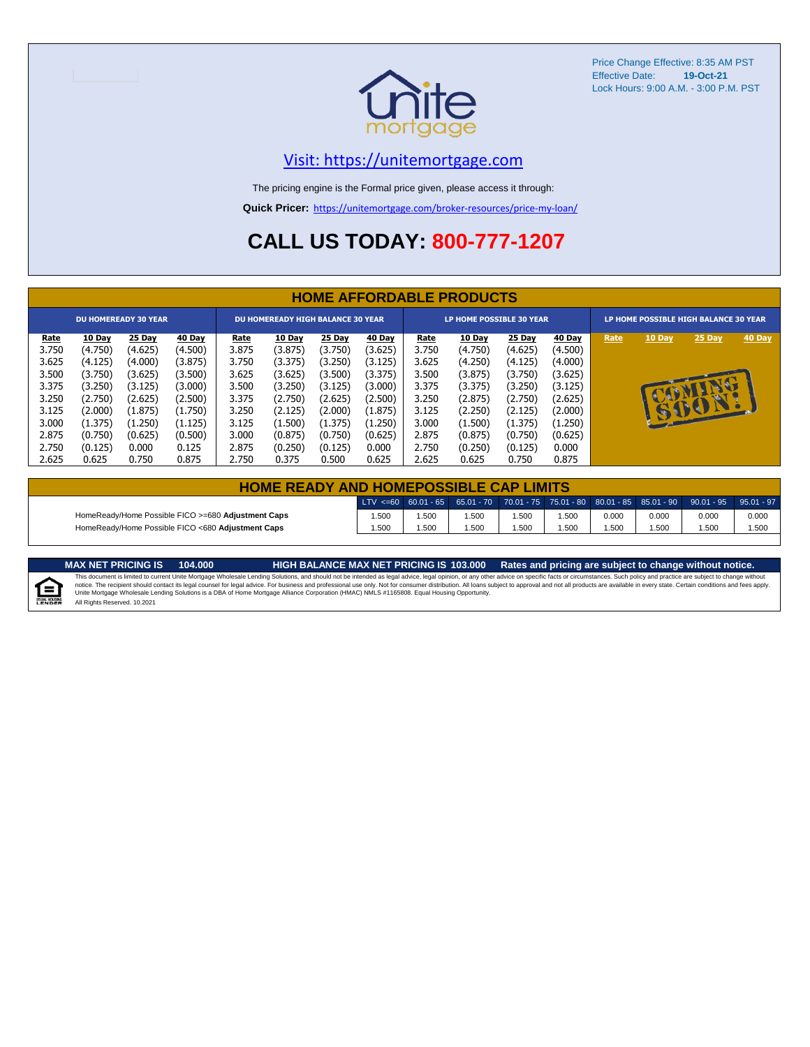

Price Change Effective: 8:35 AM PST Effective Date: **19-Oct-21** Lock Hours: 9:00 A.M. - 3:00 P.M. PST

#### [V](https://unitemortgage.com/)isit: https://unitemortgage.com

The pricing engine is the Formal price given, please access it through:

**Quick Pricer:** [https://un](https://unitemortgage.com/broker-resources/price-my-loan/)itemortgage.com/broker-resources/price-my-loan/

## **CALL US TODAY: 800-777-1207**

|             | <b>HOME AFFORDABLE PRODUCTS</b> |                             |         |             |                                          |         |         |                                 |               |         |         |                                       |              |              |        |
|-------------|---------------------------------|-----------------------------|---------|-------------|------------------------------------------|---------|---------|---------------------------------|---------------|---------|---------|---------------------------------------|--------------|--------------|--------|
|             |                                 | <b>DU HOMEREADY 30 YEAR</b> |         |             | <b>DU HOMEREADY HIGH BALANCE 30 YEAR</b> |         |         | <b>LP HOME POSSIBLE 30 YEAR</b> |               |         |         | LP HOME POSSIBLE HIGH BALANCE 30 YEAR |              |              |        |
| <u>Rate</u> | 10 Day                          | 25 Day                      | 40 Day  | <u>Rate</u> | <b>10 Day</b>                            | 25 Day  | 40 Day  | <u>Rate</u>                     | <b>10 Day</b> | 25 Day  | 40 Day  | Rate                                  | 10 Day       | 25 Day       | 40 Day |
| 3.750       | (4.750)                         | (4.625)                     | (4.500) | 3.875       | (3.875)                                  | (3.750) | (3.625) | 3.750                           | (4.750)       | (4.625) | (4.500) |                                       |              |              |        |
| 3.625       | (4.125)                         | (4.000)                     | (3.875) | 3.750       | (3.375)                                  | (3.250) | (3.125) | 3.625                           | (4.250)       | (4.125) | (4.000) |                                       |              |              |        |
| 3.500       | (3.750)                         | (3.625)                     | (3.500) | 3.625       | (3.625)                                  | (3.500) | (3.375) | 3.500                           | (3.875)       | (3.750) | (3.625) |                                       |              |              |        |
| 3.375       | (3.250)                         | (3.125)                     | (3.000) | 3.500       | (3.250)                                  | (3.125) | (3.000) | 3.375                           | (3.375)       | (3.250) | (3.125) |                                       |              |              |        |
| 3.250       | (2.750)                         | (2.625)                     | (2.500) | 3.375       | (2.750)                                  | (2.625) | (2.500) | 3.250                           | (2.875)       | (2.750) | (2.625) |                                       |              |              |        |
| 3.125       | (2.000)                         | (1.875)                     | (1.750) | 3.250       | (2.125)                                  | (2.000) | (1.875) | 3.125                           | (2.250)       | (2.125) | (2.000) |                                       | $\mathbf{F}$ | $\mathbf{P}$ |        |
| 3.000       | (1.375)                         | (1.250)                     | (1.125) | 3.125       | (1.500)                                  | (1.375) | (1.250) | 3.000                           | (1.500)       | (1.375) | (1.250) |                                       |              |              |        |
| 2.875       | (0.750)                         | (0.625)                     | (0.500) | 3.000       | (0.875)                                  | (0.750) | (0.625) | 2.875                           | (0.875)       | (0.750) | (0.625) |                                       |              |              |        |
| 2.750       | (0.125)                         | 0.000                       | 0.125   | 2.875       | (0.250)                                  | (0.125) | 0.000   | 2.750                           | (0.250)       | (0.125) | 0.000   |                                       |              |              |        |
| 2.625       | 0.625                           | 0.750                       | 0.875   | 2.750       | 0.375                                    | 0.500   | 0.625   | 2.625                           | 0.625         | 0.750   | 0.875   |                                       |              |              |        |

| <b>HOME READY AND HOMEPOSSIBLE CAP LIMITS</b>      |      |      |      |       |       |       |       |                                                                                                                                                                        |       |  |  |
|----------------------------------------------------|------|------|------|-------|-------|-------|-------|------------------------------------------------------------------------------------------------------------------------------------------------------------------------|-------|--|--|
|                                                    |      |      |      |       |       |       |       | $\mid$ LTV <=60 $\mid$ 60.01 - 65 $\mid$ 65.01 - 70 $\mid$ 70.01 - 75 $\mid$ 75.01 - 80 $\mid$ 80.01 - 85 $\mid$ 85.01 - 90 $\mid$ 90.01 - 95 $\mid$ 95.01 - 97 $\mid$ |       |  |  |
| HomeReady/Home Possible FICO >=680 Adjustment Caps | .500 | .500 | .500 | .500  | 1.500 | 0.000 | 0.000 | 0.000                                                                                                                                                                  | 0.000 |  |  |
| HomeReady/Home Possible FICO <680 Adjustment Caps  | .500 | .500 | .500 | 500،، | i.500 | .500  | .500  | .500                                                                                                                                                                   | 1.500 |  |  |

E

MAX NET PRICING IS 103.000 Rates and pricing are subject to change without notice.<br>This document is limited to current Unite Mortgage Wholesale Lending Solutions, and should not be intended as legal advice, legal opinion, All Rights Reserved. 10.2021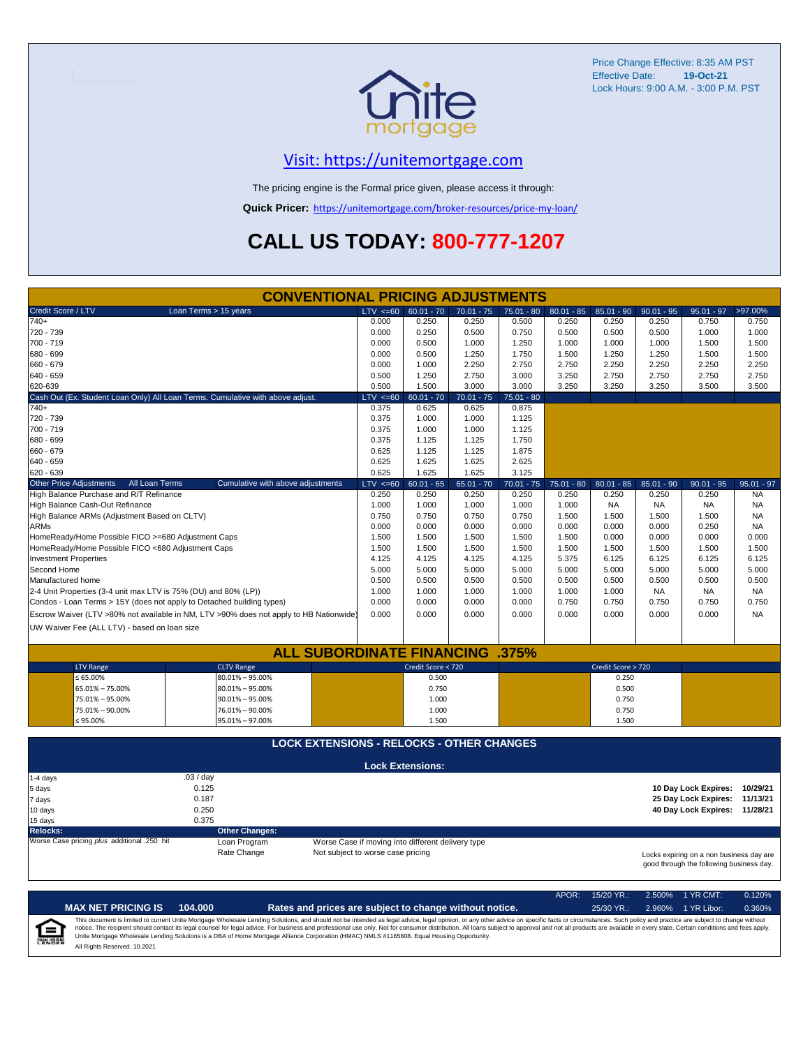

Price Change Effective: 8:35 AM PST Effective Date: **19-Oct-21** Lock Hours: 9:00 A.M. - 3:00 P.M. PST

#### [V](https://unitemortgage.com/)isit: https://unitemortgage.com

The pricing engine is the Formal price given, please access it through:

**Quick Pricer:** [https://un](https://unitemortgage.com/broker-resources/price-my-loan/)itemortgage.com/broker-resources/price-my-loan/

## **CALL US TODAY: 800-777-1207**

|                                                                                | <b>CONVENTIONAL PRICING ADJUSTMENTS</b>                                                |              |                                                   |              |              |              |                    |              |                                                                                      |              |
|--------------------------------------------------------------------------------|----------------------------------------------------------------------------------------|--------------|---------------------------------------------------|--------------|--------------|--------------|--------------------|--------------|--------------------------------------------------------------------------------------|--------------|
| Credit Score / LTV                                                             | Loan Terms > 15 years                                                                  | $LTV \le 60$ | $60.01 - 70$                                      | $70.01 - 75$ | $75.01 - 80$ | $80.01 - 85$ | $85.01 - 90$       | $90.01 - 95$ | $95.01 - 97$                                                                         | >97.00%      |
| $740+$                                                                         |                                                                                        | 0.000        | 0.250                                             | 0.250        | 0.500        | 0.250        | 0.250              | 0.250        | 0.750                                                                                | 0.750        |
| 720 - 739                                                                      |                                                                                        | 0.000        | 0.250                                             | 0.500        | 0.750        | 0.500        | 0.500              | 0.500        | 1.000                                                                                | 1.000        |
| 700 - 719                                                                      |                                                                                        | 0.000        | 0.500                                             | 1.000        | 1.250        | 1.000        | 1.000              | 1.000        | 1.500                                                                                | 1.500        |
| 680 - 699                                                                      |                                                                                        | 0.000        | 0.500                                             | 1.250        | 1.750        | 1.500        | 1.250              | 1.250        | 1.500                                                                                | 1.500        |
| 660 - 679                                                                      |                                                                                        | 0.000        | 1.000                                             | 2.250        | 2.750        | 2.750        | 2.250              | 2.250        | 2.250                                                                                | 2.250        |
| 640 - 659                                                                      |                                                                                        | 0.500        | 1.250                                             | 2.750        | 3.000        | 3.250        | 2.750              | 2.750        | 2.750                                                                                | 2.750        |
| 620-639                                                                        |                                                                                        | 0.500        | 1.500                                             | 3.000        | 3.000        | 3.250        | 3.250              | 3.250        | 3.500                                                                                | 3.500        |
| Cash Out (Ex. Student Loan Only) All Loan Terms. Cumulative with above adjust. |                                                                                        | $LTV \le 60$ | $60.01 - 70$                                      | $70.01 - 75$ | $75.01 - 80$ |              |                    |              |                                                                                      |              |
| $740+$                                                                         |                                                                                        | 0.375        | 0.625                                             | 0.625        | 0.875        |              |                    |              |                                                                                      |              |
| 720 - 739                                                                      |                                                                                        | 0.375        | 1.000                                             | 1.000        | 1.125        |              |                    |              |                                                                                      |              |
| 700 - 719                                                                      |                                                                                        | 0.375        | 1.000                                             | 1.000        | 1.125        |              |                    |              |                                                                                      |              |
| 680 - 699                                                                      |                                                                                        | 0.375        | 1.125                                             | 1.125        | 1.750        |              |                    |              |                                                                                      |              |
| 660 - 679                                                                      |                                                                                        | 0.625        | 1.125                                             | 1.125        | 1.875        |              |                    |              |                                                                                      |              |
| 640 - 659                                                                      |                                                                                        | 0.625        | 1.625                                             | 1.625        | 2.625        |              |                    |              |                                                                                      |              |
| 620 - 639                                                                      |                                                                                        | 0.625        | 1.625                                             | 1.625        | 3.125        |              |                    |              |                                                                                      |              |
| All Loan Terms<br><b>Other Price Adjustments</b>                               | Cumulative with above adjustments                                                      | $LTV \le 60$ | $60.01 - 65$                                      | $65.01 - 70$ | $70.01 - 75$ | $75.01 - 80$ | $80.01 - 85$       | $85.01 - 90$ | $90.01 - 95$                                                                         | $95.01 - 97$ |
| High Balance Purchase and R/T Refinance                                        |                                                                                        | 0.250        | 0.250                                             | 0.250        | 0.250        | 0.250        | 0.250              | 0.250        | 0.250                                                                                | <b>NA</b>    |
| High Balance Cash-Out Refinance                                                |                                                                                        | 1.000        | 1.000                                             | 1.000        | 1.000        | 1.000        | <b>NA</b>          | <b>NA</b>    | NA                                                                                   | <b>NA</b>    |
| High Balance ARMs (Adjustment Based on CLTV)                                   |                                                                                        | 0.750        | 0.750                                             | 0.750        | 0.750        | 1.500        | 1.500              | 1.500        | 1.500                                                                                | <b>NA</b>    |
| <b>ARMs</b>                                                                    |                                                                                        | 0.000        | 0.000                                             | 0.000        | 0.000        | 0.000        | 0.000              | 0.000        | 0.250                                                                                | <b>NA</b>    |
| HomeReady/Home Possible FICO >=680 Adjustment Caps                             |                                                                                        | 1.500        | 1.500                                             | 1.500        | 1.500        | 1.500        | 0.000              | 0.000        | 0.000                                                                                | 0.000        |
| HomeReady/Home Possible FICO <680 Adjustment Caps                              |                                                                                        | 1.500        | 1.500                                             | 1.500        | 1.500        | 1.500        | 1.500              | 1.500        | 1.500                                                                                | 1.500        |
| <b>Investment Properties</b>                                                   |                                                                                        | 4.125        | 4.125                                             | 4.125        | 4.125        | 5.375        | 6.125              | 6.125        | 6.125                                                                                | 6.125        |
| Second Home                                                                    |                                                                                        | 5.000        | 5.000                                             | 5.000        | 5.000        | 5.000        | 5.000              | 5.000        | 5.000                                                                                | 5.000        |
| Manufactured home                                                              |                                                                                        | 0.500        | 0.500                                             | 0.500        | 0.500        | 0.500        | 0.500              | 0.500        | 0.500                                                                                | 0.500        |
| 2-4 Unit Properties (3-4 unit max LTV is 75% (DU) and 80% (LP))                |                                                                                        | 1.000        | 1.000                                             | 1.000        | 1.000        | 1.000        | 1.000              | <b>NA</b>    | <b>NA</b>                                                                            | NA.          |
| Condos - Loan Terms > 15Y (does not apply to Detached building types)          |                                                                                        | 0.000        | 0.000                                             | 0.000        | 0.000        | 0.750        | 0.750              | 0.750        | 0.750                                                                                | 0.750        |
|                                                                                | Escrow Waiver (LTV >80% not available in NM, LTV >90% does not apply to HB Nationwide) | 0.000        | 0.000                                             | 0.000        | 0.000        | 0.000        | 0.000              | 0.000        | 0.000                                                                                | <b>NA</b>    |
| UW Waiver Fee (ALL LTV) - based on loan size                                   |                                                                                        |              |                                                   |              |              |              |                    |              |                                                                                      |              |
|                                                                                |                                                                                        |              |                                                   |              |              |              |                    |              |                                                                                      |              |
|                                                                                | <b>ALL SUBORDINATE FINANCING .375%</b>                                                 |              |                                                   |              |              |              |                    |              |                                                                                      |              |
| <b>LTV Range</b>                                                               | <b>CLTV Range</b>                                                                      |              | Credit Score < 720                                |              |              |              | Credit Score > 720 |              |                                                                                      |              |
| $\leq 65.00\%$                                                                 | $80.01\% - 95.00\%$                                                                    |              | 0.500                                             |              |              |              | 0.250              |              |                                                                                      |              |
| 65.01% - 75.00%                                                                | $80.01\% - 95.00\%$                                                                    |              | 0.750                                             |              |              |              | 0.500              |              |                                                                                      |              |
| 75.01% - 95.00%                                                                | $90.01\% - 95.00\%$                                                                    |              | 1.000                                             |              |              |              | 0.750              |              |                                                                                      |              |
| 75.01% - 90.00%                                                                | 76.01% - 90.00%                                                                        |              | 1.000                                             |              |              |              | 0.750              |              |                                                                                      |              |
| $≤ 95.00\%$                                                                    | 95.01% - 97.00%                                                                        |              | 1.500                                             |              |              |              | 1.500              |              |                                                                                      |              |
|                                                                                |                                                                                        |              |                                                   |              |              |              |                    |              |                                                                                      |              |
|                                                                                | <b>LOCK EXTENSIONS - RELOCKS - OTHER CHANGES</b>                                       |              |                                                   |              |              |              |                    |              |                                                                                      |              |
|                                                                                |                                                                                        |              | <b>Lock Extensions:</b>                           |              |              |              |                    |              |                                                                                      |              |
| 1-4 days                                                                       | .03 / day                                                                              |              |                                                   |              |              |              |                    |              |                                                                                      |              |
| 5 days                                                                         | 0.125                                                                                  |              |                                                   |              |              |              |                    |              | 10 Day Lock Expires:                                                                 | 10/29/21     |
| 7 days                                                                         | 0.187                                                                                  |              |                                                   |              |              |              |                    |              | 25 Day Lock Expires:                                                                 | 11/13/21     |
| 10 days                                                                        | 0.250                                                                                  |              |                                                   |              |              |              |                    |              | 40 Day Lock Expires: 11/28/21                                                        |              |
| 15 days                                                                        | 0.375                                                                                  |              |                                                   |              |              |              |                    |              |                                                                                      |              |
| <b>Relocks:</b>                                                                | <b>Other Changes:</b>                                                                  |              |                                                   |              |              |              |                    |              |                                                                                      |              |
| Worse Case pricing plus additional .250 hit                                    | Loan Program                                                                           |              | Worse Case if moving into different delivery type |              |              |              |                    |              |                                                                                      |              |
|                                                                                | Rate Change<br>Not subject to worse case pricing                                       |              |                                                   |              |              |              |                    |              | Locks expiring on a non business day are<br>good through the following business day. |              |

|                            |                              |         |                                                                                                                                                                                                                                                                                                                                                                                                                                                                                                                                                                                                                | APOR: | $15/20$ YR.: | $2.500\%$ 1 YR CMT: | 0.120% |
|----------------------------|------------------------------|---------|----------------------------------------------------------------------------------------------------------------------------------------------------------------------------------------------------------------------------------------------------------------------------------------------------------------------------------------------------------------------------------------------------------------------------------------------------------------------------------------------------------------------------------------------------------------------------------------------------------------|-------|--------------|---------------------|--------|
|                            | <b>MAX NET PRICING IS</b>    | 104.000 | Rates and prices are subject to change without notice.                                                                                                                                                                                                                                                                                                                                                                                                                                                                                                                                                         |       | $25/30$ YR.: | 2.960% 1 YR Libor:  | 0.360% |
| ſ≘<br><b>EQUAL HOUSING</b> | All Rights Reserved, 10,2021 |         | This document is limited to current Unite Mortgage Wholesale Lending Solutions, and should not be intended as legal advice, legal opinion, or any other advice on specific facts or circumstances. Such policy and practice ar<br>notice. The recipient should contact its legal counsel for legal advice. For business and professional use only. Not for consumer distribution. All loans subject to approval and not all products are available in every stat<br>Unite Mortgage Wholesale Lending Solutions is a DBA of Home Mortgage Alliance Corporation (HMAC) NMLS #1165808. Equal Housing Opportunity. |       |              |                     |        |